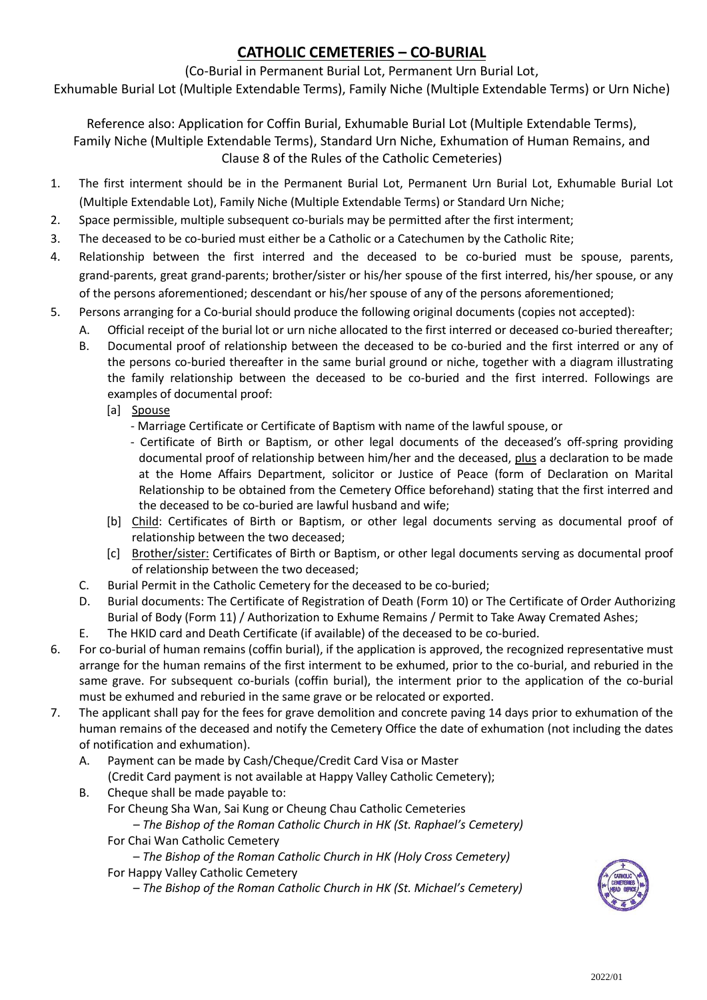## **CATHOLIC CEMETERIES – CO-BURIAL**

### (Co-Burial in Permanent Burial Lot, Permanent Urn Burial Lot,

Exhumable Burial Lot (Multiple Extendable Terms), Family Niche (Multiple Extendable Terms) or Urn Niche)

Reference also: Application for Coffin Burial, Exhumable Burial Lot (Multiple Extendable Terms), Family Niche (Multiple Extendable Terms), Standard Urn Niche, Exhumation of Human Remains, and Clause 8 of the Rules of the Catholic Cemeteries)

- 1. The first interment should be in the Permanent Burial Lot, Permanent Urn Burial Lot, Exhumable Burial Lot (Multiple Extendable Lot), Family Niche (Multiple Extendable Terms) or Standard Urn Niche;
- 2. Space permissible, multiple subsequent co-burials may be permitted after the first interment;
- 3. The deceased to be co-buried must either be a Catholic or a Catechumen by the Catholic Rite;
- 4. Relationship between the first interred and the deceased to be co-buried must be spouse, parents, grand-parents, great grand-parents; brother/sister or his/her spouse of the first interred, his/her spouse, or any of the persons aforementioned; descendant or his/her spouse of any of the persons aforementioned;
- 5. Persons arranging for a Co-burial should produce the following original documents (copies not accepted):
	- A. Official receipt of the burial lot or urn niche allocated to the first interred or deceased co-buried thereafter;
		- B. Documental proof of relationship between the deceased to be co-buried and the first interred or any of the persons co-buried thereafter in the same burial ground or niche, together with a diagram illustrating the family relationship between the deceased to be co-buried and the first interred. Followings are examples of documental proof:
			- [a] Spouse
				- Marriage Certificate or Certificate of Baptism with name of the lawful spouse, or
				- Certificate of Birth or Baptism, or other legal documents of the deceased's off-spring providing documental proof of relationship between him/her and the deceased, plus a declaration to be made at the Home Affairs Department, solicitor or Justice of Peace (form of Declaration on Marital Relationship to be obtained from the Cemetery Office beforehand) stating that the first interred and the deceased to be co-buried are lawful husband and wife;
			- [b] Child: Certificates of Birth or Baptism, or other legal documents serving as documental proof of relationship between the two deceased;
			- [c] Brother/sister: Certificates of Birth or Baptism, or other legal documents serving as documental proof of relationship between the two deceased;
		- C. Burial Permit in the Catholic Cemetery for the deceased to be co-buried;
		- D. Burial documents: The Certificate of Registration of Death (Form 10) or The Certificate of Order Authorizing Burial of Body (Form 11) / Authorization to Exhume Remains / Permit to Take Away Cremated Ashes;
		- E. The HKID card and Death Certificate (if available) of the deceased to be co-buried.
- 6. For co-burial of human remains (coffin burial), if the application is approved, the recognized representative must arrange for the human remains of the first interment to be exhumed, prior to the co-burial, and reburied in the same grave. For subsequent co-burials (coffin burial), the interment prior to the application of the co-burial must be exhumed and reburied in the same grave or be relocated or exported.
- 7. The applicant shall pay for the fees for grave demolition and concrete paving 14 days prior to exhumation of the human remains of the deceased and notify the Cemetery Office the date of exhumation (not including the dates of notification and exhumation).
	- A. Payment can be made by Cash/Cheque/Credit Card Visa or Master (Credit Card payment is not available at Happy Valley Catholic Cemetery);
	- B. Cheque shall be made payable to:
		- For Cheung Sha Wan, Sai Kung or Cheung Chau Catholic Cemeteries

*– The Bishop of the Roman Catholic Church in HK (St. Raphael's Cemetery)* For Chai Wan Catholic Cemetery

– *The Bishop of the Roman Catholic Church in HK (Holy Cross Cemetery)*  For Happy Valley Catholic Cemetery

– *The Bishop of the Roman Catholic Church in HK (St. Michael's Cemetery)*

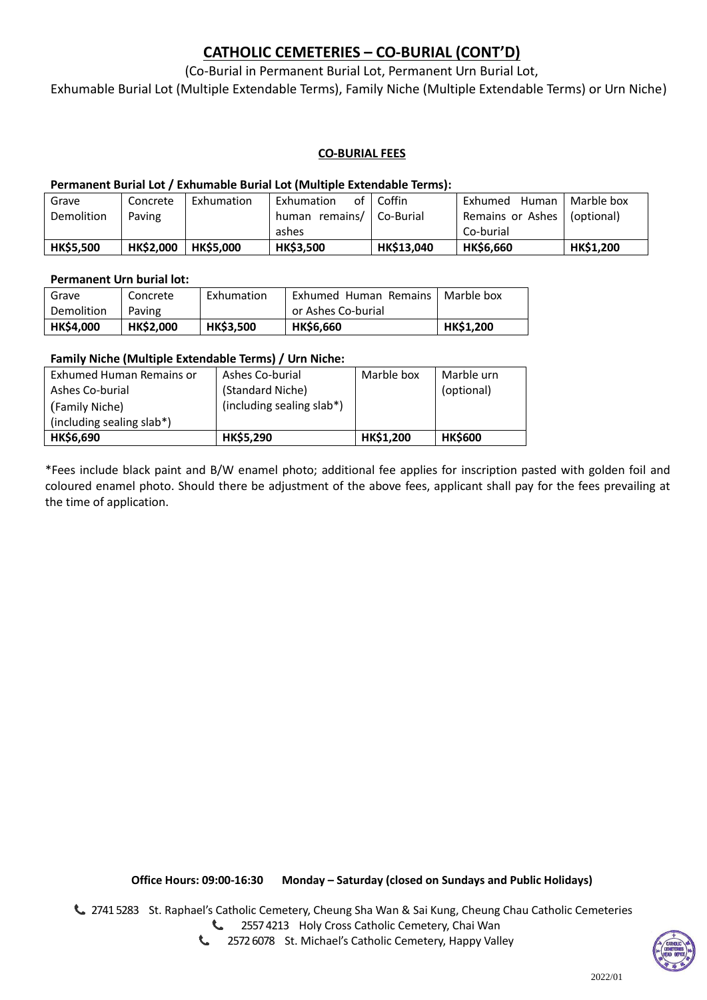### **CATHOLIC CEMETERIES – CO-BURIAL (CONT'D)**

### (Co-Burial in Permanent Burial Lot, Permanent Urn Burial Lot,

Exhumable Burial Lot (Multiple Extendable Terms), Family Niche (Multiple Extendable Terms) or Urn Niche)

#### **CO-BURIAL FEES**

#### **Permanent Burial Lot / Exhumable Burial Lot (Multiple Extendable Terms):**

| Grave            | Concrete         | Exhumation       | of ·<br>Exhumation         | Coffin            | Human<br>Exhumed | Marble box       |
|------------------|------------------|------------------|----------------------------|-------------------|------------------|------------------|
| Demolition       | Paving           |                  | human remains/   Co-Burial |                   | Remains or Ashes | (optional)       |
|                  |                  |                  | ashes                      |                   | Co-burial        |                  |
| <b>HK\$5,500</b> | <b>HK\$2,000</b> | <b>HK\$5,000</b> | <b>HK\$3,500</b>           | <b>HK\$13,040</b> | <b>HK\$6,660</b> | <b>HK\$1,200</b> |

#### **Permanent Urn burial lot:**

| Grave            | Concrete         | Exhumation       | Exhumed Human Remains | Marble box       |
|------------------|------------------|------------------|-----------------------|------------------|
| Demolition       | Paving           |                  | or Ashes Co-burial    |                  |
| <b>HK\$4,000</b> | <b>HK\$2,000</b> | <b>HK\$3,500</b> | <b>HK\$6,660</b>      | <b>HK\$1,200</b> |

#### **Family Niche (Multiple Extendable Terms) / Urn Niche:**

| Exhumed Human Remains or  | Ashes Co-burial           | Marble box | Marble urn     |
|---------------------------|---------------------------|------------|----------------|
| Ashes Co-burial           | (Standard Niche)          |            | (optional)     |
| (Family Niche)            | (including sealing slab*) |            |                |
| (including sealing slab*) |                           |            |                |
| <b>HK\$6,690</b>          | HK\$5,290                 | HK\$1,200  | <b>HK\$600</b> |

\*Fees include black paint and B/W enamel photo; additional fee applies for inscription pasted with golden foil and coloured enamel photo. Should there be adjustment of the above fees, applicant shall pay for the fees prevailing at the time of application.

**Office Hours: 09:00-16:30 Monday – Saturday (closed on Sundays and Public Holidays)**

2741 5283 St. Raphael's Catholic Cemetery, Cheung Sha Wan & Sai Kung, Cheung Chau Catholic Cemeteries 2557 4213 Holy Cross Catholic Cemetery, Chai Wan

> $\mathcal{L}$ 2572 6078 St. Michael's Catholic Cemetery, Happy Valley